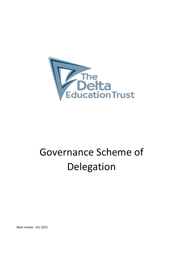

# Governance Scheme of Delegation

Next review: Oct 2021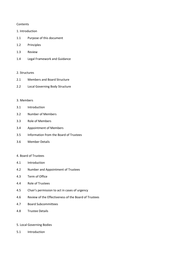#### **Contents**

#### 1. Introduction

- 1.1 Purpose of this document
- 1.2 Principles
- 1.3 Review
- 1.4 Legal Framework and Guidance

#### 2. Structures

- 2.1 Members and Board Structure
- 2.2 Local Governing Body Structure

#### 3. Members

- 3.1 Introduction
- 3.2 Number of Members
- 3.3 Role of Members
- 3.4 Appointment of Members
- 3.5 Information from the Board of Trustees
- 3.6 Member Details

## 4. Board of Trustees

- 4.1 Introduction
- 4.2 Number and Appointment of Trustees
- 4.3 Term of Office
- 4.4 Role of Trustees
- 4.5 Chair's permission to act in cases of urgency
- 4.6 Review of the Effectiveness of the Board of Trustees
- 4.7 Board Subcommittees
- 4.8 Trustee Details

## 5. Local Governing Bodies

5.1 Introduction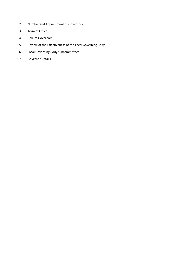- 5.2 Number and Appointment of Governors
- 5.3 Term of Office
- 5.4 Role of Governors
- 5.5 Review of the Effectiveness of the Local Governing Body
- 5.6 Local Governing Body subcommittees
- 5.7 Governor Details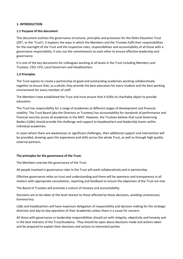## **1. INTRODUCTION**

## **1.1 Purpose of this document**

This document outlines the governance structures, principles and processes for the Delta Education Trust (DET, or the 'Trust'). It explains the ways in which the Members and the Trustees fulfil their responsibilities for the oversight of the Trust and the respective roles, responsibilities and accountability of all those with a governance responsibility. It sets out the commitments to each other to ensure effective leadership and governance.

It is one of the key documents for colleagues working at all levels in the Trust including Members and Trustees, CEO, CFO, Local Governors and Headteachers.

## **1.2 Principles**

The Trust aspires to create a partnership of good and outstanding academies working collaboratively together to ensure that, as a whole, they provide the best education for every student and the best working environment for every member of staff.

The Members have established the Trust and must ensure that it fulfils its charitable object to provide education.

The Trust has responsibility for a range of academies at different stages of development and financial stability. The Trust Board (aka the Directors or Trustees) has accountability for standards of performance and financial security across all academies in the MAT. However, the Trustees believe that Local Governing Bodies (LGBs) should provide the challenge and support to headteachers and leadership teams within individual academies.

In cases where there are weaknesses or significant challenges, then additional support and intervention will be provided, drawing upon the experience and skills across the whole Trust, as well as through high quality external partners.

#### **The principles for the governance of the Trust:**

The Members oversee the governance of the Trust.

All people involved in governance roles in the Trust will work collaboratively and in partnership.

Effective governance relies on trust and understanding and there will be openness and transparency in all matters with appropriate consultation, reporting and feedback to ensure the objectives of the Trust are met.

The Board of Trustees will promote a culture of honesty and accountability.

Decisions are to be taken at the level nearest to those affected by those decisions, avoiding unnecessary bureaucracy.

LGBs and headteachers will have maximum delegation of responsibility and decision making for the strategic direction and day-to-day operation of their Academies unless there is a cause for concern.

All those with governance or leadership responsibilities should act with integrity, objectivity and honesty and in the best interests of the Trust/Academy. They should be open about decisions made and actions taken and be prepared to explain their decisions and actions to interested parties.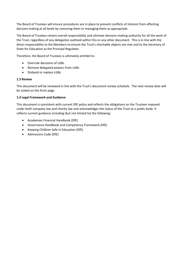The Board of Trustees will ensure procedures are in place to prevent conflicts of interest from affecting decision making at all levels by removing them or managing them as appropriate.

The Board of Trustees retains overall responsibility and ultimate decision-making authority for all the work of the Trust, regardless of any delegation outlined within this or any other document. This is in line with the direct responsibility to the Members to ensure the Trust's charitable objects are met and to the Secretary of State for Education as the Principal Regulator.

Therefore, the Board of Trustees is ultimately entitled to:

- Overrule decisions of LGBs
- Remove delegated powers from LGBs
- Disband or replace LGBs

# **1.3 Review**

This document will be reviewed in line with the Trust's document review schedule. The next review date will be stated on the front page.

# **1.4 Legal Framework and Guidance**

This document is consistent with current DfE policy and reflects the obligations on the Trustees imposed under both company law and charity law and acknowledges the status of the Trust as a public body. It reflects current guidance including (but not limited to) the following:

- Academies Financial Handbook (DfE)
- Governance Handbook and Competency Framework (DfE)
- Keeping Children Safe in Education (DfE)
- Admissions Code (DfE)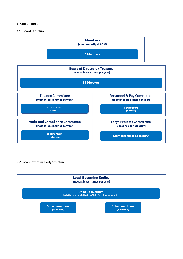#### **2. STRUCTURES**

### **2.1. Board Structure**



#### 2.2 Local Governing Body Structure

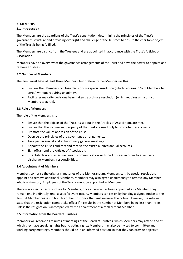# **3. MEMBERS**

# **3.1 Introduction**

The Members are the guardians of the Trust's constitution, determining the principles of the Trust's governance structure and providing oversight and challenge of the Trustees to ensure the charitable object of the Trust is being fulfilled.

The Members are distinct from the Trustees and are appointed in accordance with the Trust's Articles of Association.

Members have an overview of the governance arrangements of the Trust and have the power to appoint and remove Trustees.

## **3.2 Number of Members**

The Trust must have at least three Members, but preferably five Members as this:

- Ensures that Members can take decisions via special resolution (which requires 75% of Members to agree) without requiring unanimity.
- Facilitates majority decisions being taken by ordinary resolution (which requires a majority of Members to agree).

## **3.3 Role of Members**

The role of the Members is to:

- Ensure that the objects of the Trust, as set out in the Articles of Association, are met.
- Ensure that the income and property of the Trust are used only to promote these objects.
- Promote the values and vision of the Trust.
- Oversee the principles of the governance arrangements.
- Take part in annual and extraordinary general meetings.
- Appoint the Trust's auditors and receive the trust's audited annual accounts.
- Sign off/amend the Articles of Association.
- Establish clear and effective lines of communication with the Trustees in order to effectively discharge Members' responsibilities.

#### **3.4 Appointment of Members**

Members comprise the original signatories of the Memorandum. Members can, by special resolution, appoint and remove additional Members. Members may also agree unanimously to remove any Member who is a signatory. Employees of the Trust cannot be appointed as Members.

There is no specific term of office for Members; once a person has been appointed as a Member, they remain one indefinitely, until a specific event occurs. Members can resign by handing a signed notice to the Trust. A Member ceases to hold his or her post once the Trust receives the notice. However, the Articles state that the resignation cannot take effect if it results in the number of Members being less than three, unless the resignation is accompanied by the appointment of a replacement Member.

#### **3.5 Information from the Board of Trustees**

Members will receive all minutes of meetings of the Board of Trustees, which Members may attend and at which they have speaking rights but no voting rights; Members may also be invited to committee and working party meetings. Members should be in an informed position so that they can provide objective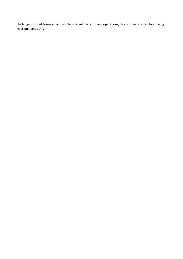challenge, without taking an active role in Board decisions and operations; this is often referred to as being 'eyes on, hands off'.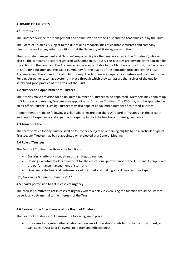## **4. BOARD OF TRUSTEES**

# **4.1 Introduction**

The Trustees oversee the management and administration of the Trust and the Academies run by the Trust.

The Board of Trustees is subject to the duties and responsibilities of charitable trustees and company directors as well as any other conditions that the Secretary of State agrees with them.

The corporate management and "trustee" responsibility for the Trust is vested in the "Trustees", who will also be the company directors registered with Companies House. The Trustees are personally responsible for the actions of the Trust and the Academies and are accountable to the Members of the Trust, the Secretary of State for Education and the wider community for the quality of the education provided by the Trust Academies and the expenditure of public money. The Trustees are required as trustees and pursuant to the Funding Agreements to have systems in place through which they can assure themselves of the quality, safety and good practice of the affairs of the Trust.

## **4.2 Number and Appointment of Trustees**

The Articles make provision for an unlimited number of Trustees to be appointed. Members may appoint up to 5 Trustees and existing Trustees may appoint up to 5 further Trustees. The CEO may also be appointed as an ex-officio Trustee. Existing Trustees may also appoint an unlimited number of co-opted Trustees.

Appointments are made following a skills audit to ensure that the MAT Board of Trustees has the breadth and depth of experience and expertise to expertly fulfil all the functions of Trust governance.

## **4.3 Term of Office**

The term of office for any Trustee shall be four years. Subject to remaining eligible to be a particular type of Trustee, any Trustee may be re-appointed or re-elected at a General Meeting.

#### **4.4 Role of Trustees**

The Board of Trustees has three core functions:

- Ensuring clarity of vision, ethos and strategic direction;
- Holding executive leaders to account for the educational performance of the Trust and its pupils, and the performance management of staff; and
- Overseeing the financial performance of the Trust and making sure its money is well spent.

#### *DfE, Governors Handbook, January 2017*

#### **4.5 Chair's permission to act in cases of urgency**

The chair is permitted to act in cases of urgency where a delay in exercising the function would be likely to be seriously detrimental to the interests of the Trust.

#### **4.6 Review of the Effectiveness of the Board of Trustees**

The Board of Trustees should ensure the following are in place:

 processes for regular self-evaluation and review of individuals' contribution to the Trust Board, as well as the Trust Board's overall operation and effectiveness.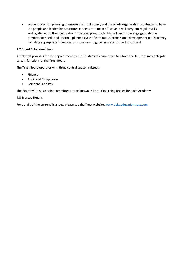active succession planning to ensure the Trust Board, and the whole organisation, continues to have the people and leadership structures it needs to remain effective. It will carry out regular skills audits, aligned to the organisation's strategic plan, to identify skill and knowledge gaps, define recruitment needs and inform a planned cycle of continuous professional development (CPD) activity including appropriate induction for those new to governance or to the Trust Board.

## **4.7 Board Subcommittees**

Article 101 provides for the appointment by the Trustees of committees to whom the Trustees may delegate certain functions of the Trust Board.

The Trust Board operates with three central subcommittees:

- Finance
- Audit and Compliance
- Personnel and Pay

The Board will also appoint committees to be known as Local Governing Bodies for each Academy.

#### **4.8 Trustee Details**

For details of the current Trustees, please see the Trust website. [www.deltaeducationtrust.com](http://www.deltaeducationtrust.com/)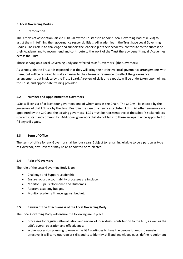# **5. Local Governing Bodies**

# **5.1 Introduction**

The Articles of Association (article 100a) allow the Trustees to appoint Local Governing Bodies (LGBs) to assist them in fulfilling their governance responsibilities. All academies in the Trust have Local Governing Bodies. Their role is to challenge and support the leadership of their academy, contribute to the success of their Academy and to recommend and contribute to the work of the Trust thereby benefitting all Academies across the Trust.

Those serving on a Local Governing Body are referred to as "Governors" (the Governors).

As schools join the Trust it is expected that they will bring their effective local governance arrangements with them, but will be required to make changes to their terms of reference to reflect the governance arrangements put in place by the Trust Board. A review of skills and capacity will be undertaken upon joining the Trust, and appropriate training provided.

# **5.2 Number and Appointment of Governors**

LGBs will consist of at least four governors, one of whom acts as the Chair. The CoG will be elected by the governors of that LGB (or by the Trust Board in the case of a newly established LGB). All other governors are appointed by the CoG and the existing governors. LGBs must be representative of the school's stakeholders - parents, staff and community. Additional governors that do not fall into these groups may be appointed to fill any skills gaps.

# **5.3 Term of Office**

The term of office for any Governor shall be four years. Subject to remaining eligible to be a particular type of Governor, any Governor may be re-appointed or re-elected.

# **5.4 Role of Governors**

The role of the Local Governing Body is to:

- Challenge and Support Leadership.
- Ensure robust accountability processes are in place.
- Monitor Pupil Performance and Outcomes.
- Approve academy budget.
- Monitor academy finance against budget.

# **5.5 Review of the Effectiveness of the Local Governing Body**

The Local Governing Body will ensure the following are in place:

- processes for regular self-evaluation and review of individuals' contribution to the LGB, as well as the LGB's overall operation and effectiveness
- active succession planning to ensure the LGB continues to have the people it needs to remain effective. It will carry out regular skills audits to identify skill and knowledge gaps, define recruitment